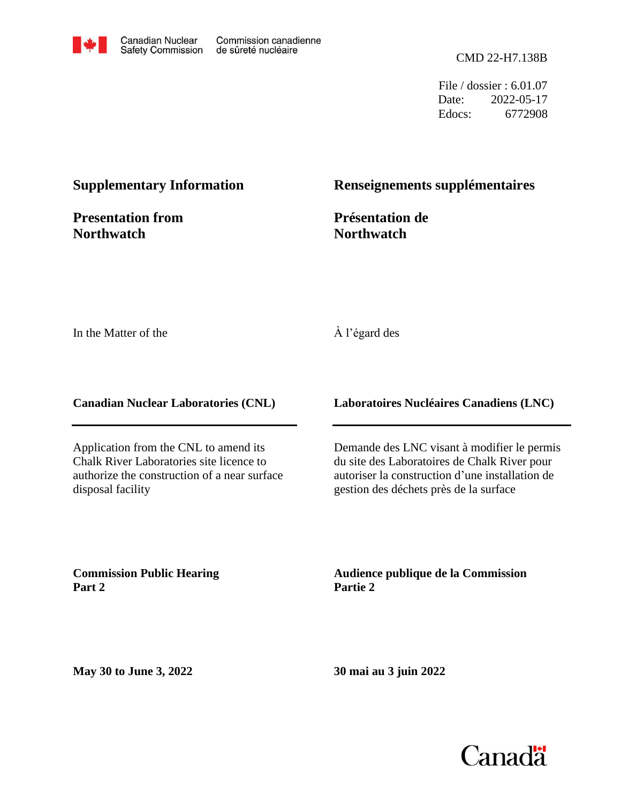

File / dossier : 6.01.07 Date: 2022-05-17 Edocs: 6772908

### **Supplementary Information**

**Presentation from Northwatch**

#### **Renseignements supplémentaires**

**Présentation de Northwatch**

In the Matter of the

#### À l'égard des

**Canadian Nuclear Laboratories (CNL)**

Application from the CNL to amend its Chalk River Laboratories site licence to authorize the construction of a near surface disposal facility

**Laboratoires Nucléaires Canadiens (LNC)**

Demande des LNC visant à modifier le permis du site des Laboratoires de Chalk River pour autoriser la construction d'une installation de gestion des déchets près de la surface

**Commission Public Hearing Part 2**

**Audience publique de la Commission Partie 2**

**May 30 to June 3, 2022**

**30 mai au 3 juin 2022**

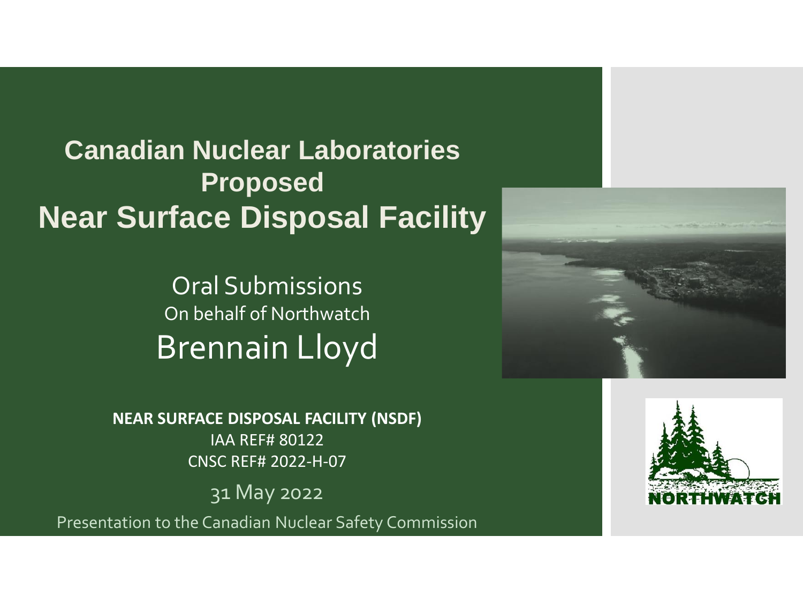**Canadian Nuclear Laboratories Proposed Near Surface Disposal Facility**

> Oral Submissions On behalf of Northwatch Brennain Lloyd

**NEAR SURFACE DISPOSAL FACILITY (NSDF)** IAA REF# 80122 CNSC REF# 2022-H-07

31 May 2022

Presentation to the Canadian Nuclear Safety Commission



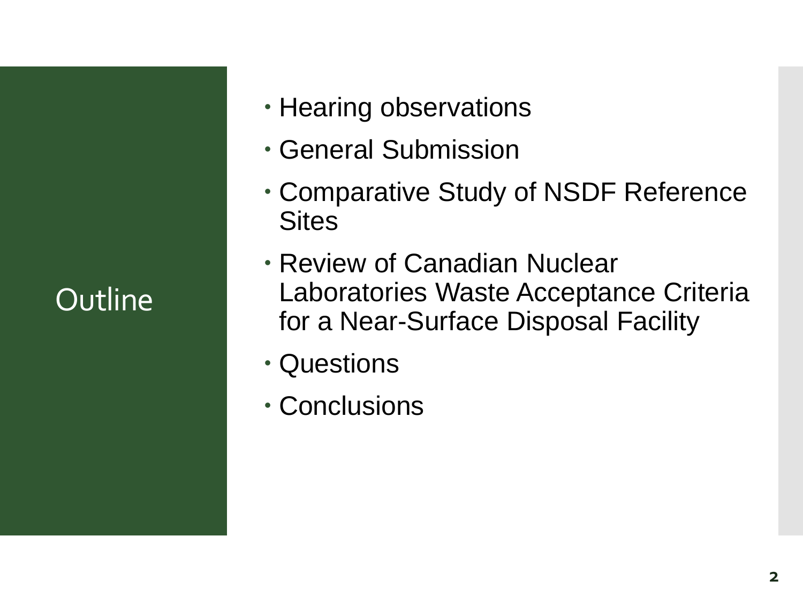## **Outline**

- Hearing observations
- General Submission
- Comparative Study of NSDF Reference **Sites**
- Review of Canadian Nuclear Laboratories Waste Acceptance Criteria for a Near-Surface Disposal Facility
- Questions
- Conclusions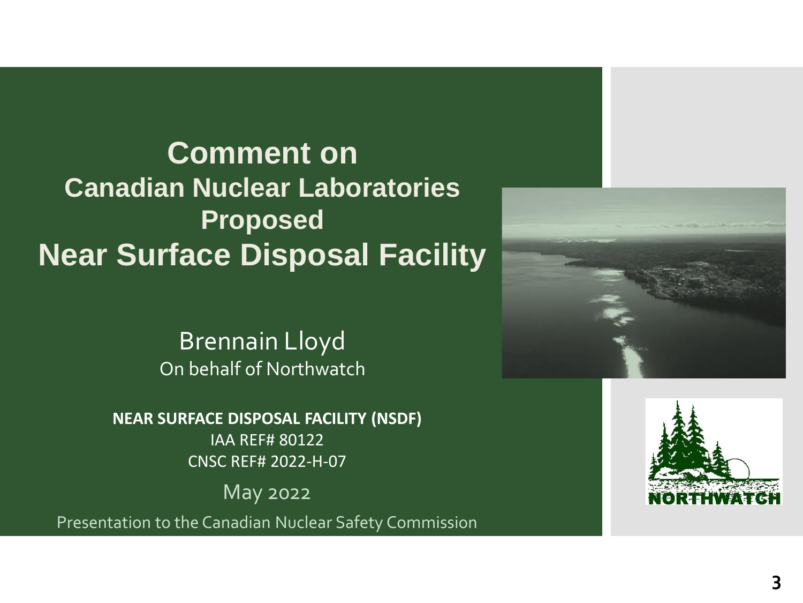**Comment on Canadian Nuclear Laboratories Proposed Near Surface Disposal Facility**

> Brennain Lloyd On behalf of Northwatch

**NEAR SURFACE DISPOSAL FACILITY (NSDF)** IAA REF# 80122 CNSC REF# 2022-H-07

May 2022

Presentation to the Canadian Nuclear Safety Commission



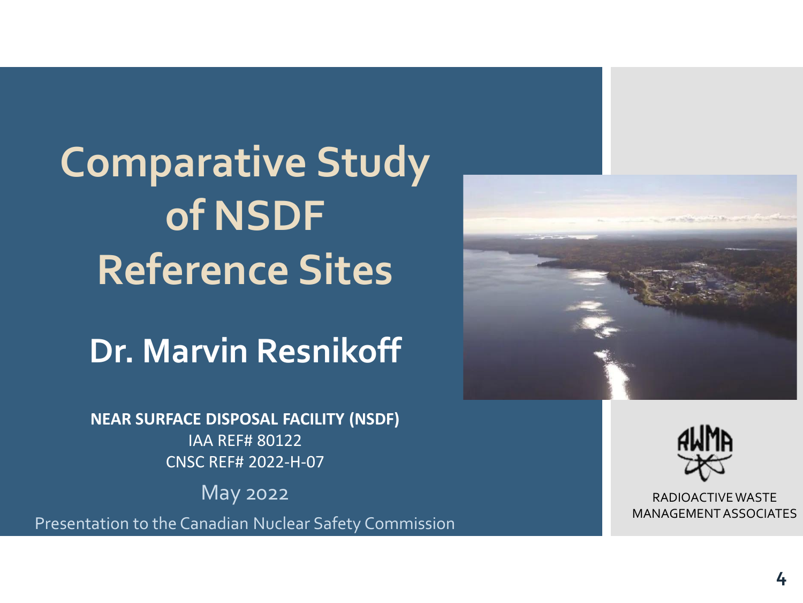**Comparative Study of NSDF Reference Sites**

**Dr. Marvin Resnikoff**

**NEAR SURFACE DISPOSAL FACILITY (NSDF)** IAA REF# 80122 CNSC REF# 2022-H-07

May 2022

Presentation to the Canadian Nuclear Safety Commission





RADIOACTIVE WASTE MANAGEMENT ASSOCIATES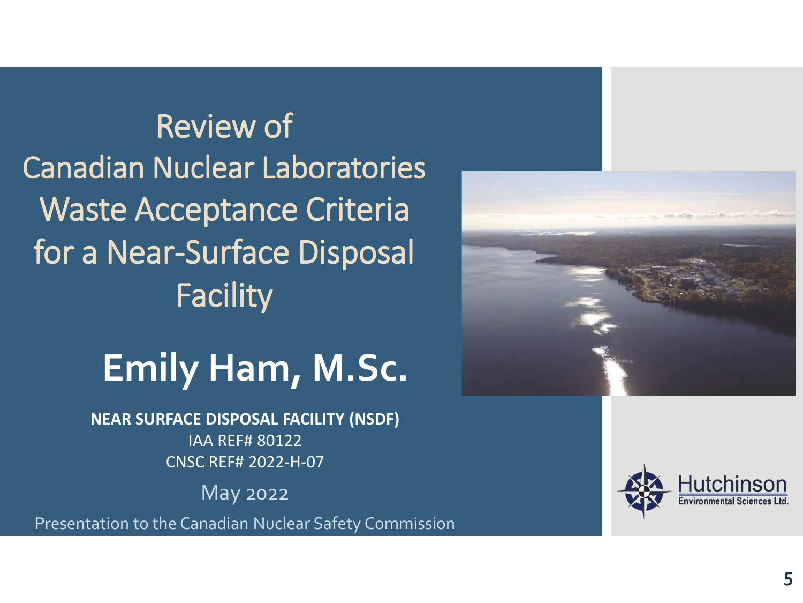Review of Canadian Nuclear Laboratories Waste Acceptance Criteria for a Near-Surface Disposal Facility

# **Emily Ham, M.Sc.**

**NEAR SURFACE DISPOSAL FACILITY (NSDF)** IAA REF# 80122 CNSC REF# 2022-H-07

May 2022

Presentation to the Canadian Nuclear Safety Commission



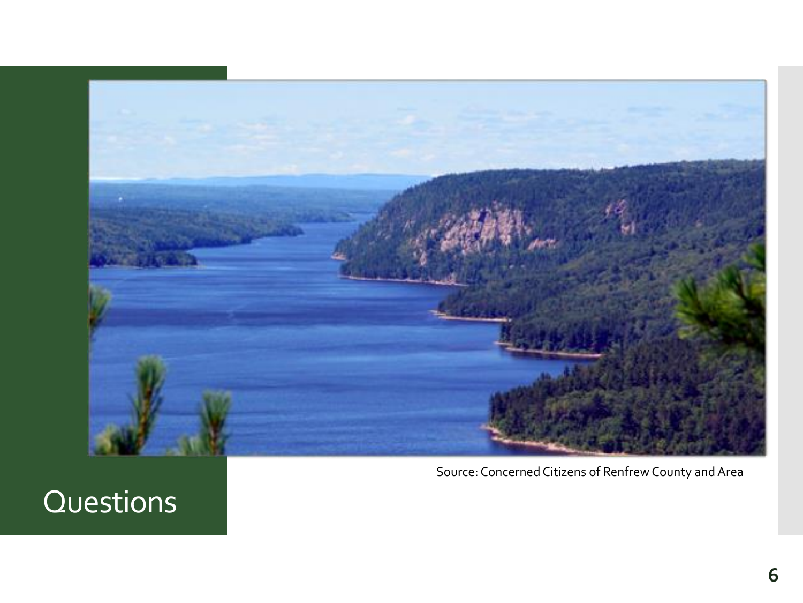

Source: Concerned Citizens of Renfrew County and Area

### Questions